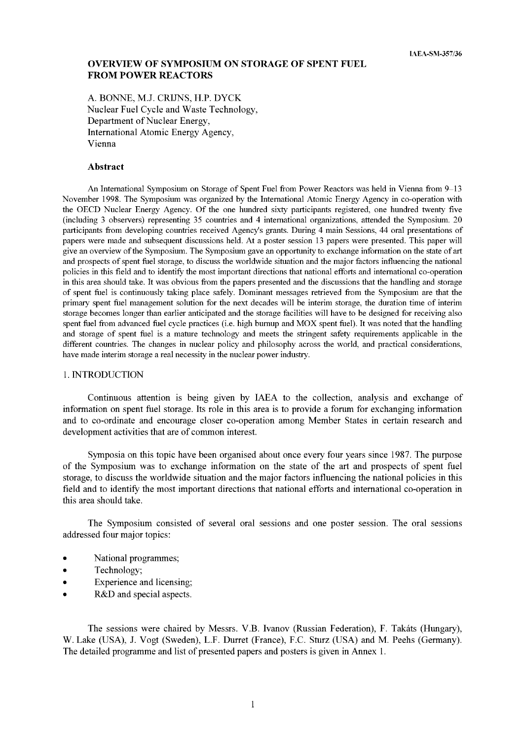### **OVERVIEW OF SYMPOSIUM ON STORAGE OF SPENT FUEL FROM POWER REACTORS**

A. BONNE, M.J. CRIJNS, H.P. DYCK Nuclear Fuel Cycle and Waste Technology, Department of Nuclear Energy, International Atomic Energy Agency, Vienna

#### **Abstract**

An International Symposium on Storage of Spent Fuel from Power Reactors was held in Vienna from 9-13 November 1998. The Symposium was organized by the International Atomic Energy Agency in co-operation with the OECD Nuclear Energy Agency. Of the one hundred sixty participants registered, one hundred twenty five (including 3 observers) representing 35 countries and 4 international organizations, attended the Symposium. 20 participants from developing countries received Agency's grants. During 4 main Sessions, 44 oral presentations of papers were made and subsequent discussions held. At a poster session 13 papers were presented. This paper will give an overview of the Symposium. The Symposium gave an opportunify to exchange information on the state of art and prospects of spent fuel storage, to discuss the worldwide situation and the major factors influencing the national policies in this field and to identify the most important directions that national efforts and international co-operation in this area should take. It was obvious from the papers presented and the discussions that the handling and storage of spent fuel is continuously taking place safely. Dominant messages retrieved from the Symposium are that the primary spent fuel management solution for the next decades will be interim storage, the duration time of interim storage becomes longer than earlier anticipated and the storage facilities will have to be designed for receiving also spent fuel from advanced fuel cycle practices (i.e. high burnup and MOX spent fuel). It was noted that the handling and storage of spent fuel is a mature technology and meets the stringent safety requirements applicable in the different countries. The changes in nuclear policy and philosophy across the world, and practical considerations, have made interim storage a real necessity in the nuclear power industry.

#### 1. INTRODUCTION

Continuous attention is being given by IAEA to the collection, analysis and exchange of information on spent fuel storage. Its role in this area is to provide a forum for exchanging information and to co-ordinate and encourage closer co-operation among Member States in certain research and development activities that are of common interest.

Symposia on this topic have been organised about once every four years since 1987. The purpose of the Symposium was to exchange information on the state of the art and prospects of spent fuel storage, to discuss the worldwide situation and the major factors influencing the national policies in this field and to identify the most important directions that national efforts and international co-operation in this area should take.

The Symposium consisted of several oral sessions and one poster session. The oral sessions addressed four major topics:

- National programmes;
- Technology;
- Experience and licensing;
- R&D and special aspects.

The sessions were chaired by Messrs. V.B. Ivanov (Russian Federation), F. Takats (Hungary), W. Lake (USA), J. Vogt (Sweden), L.F. Durret (France), F.C. Sturz (USA) and M. Peehs (Germany). The detailed programme and list of presented papers and posters is given in Annex 1.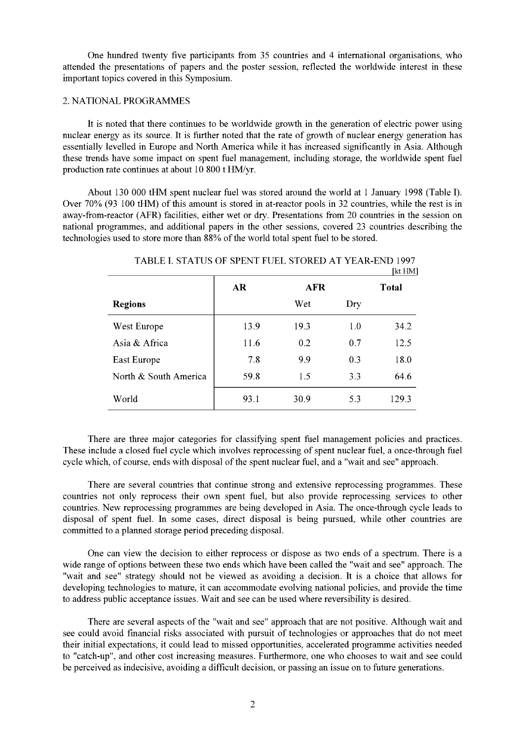One hundred twenty five participants from 35 countries and 4 international organisations, who attended the presentations of papers and the poster session, reflected the worldwide interest in these important topics covered in this Symposium.

#### 2. NATIONAL PROGRAMMES

It is noted that there continues to be worldwide growth in the generation of electric power using nuclear energy as its source. It is further noted that the rate of growth of nuclear energy generation has essentially levelled in Europe and North America while it has increased significantly in Asia. Although these trends have some impact on spent fuel management, including storage, the worldwide spent fuel production rate continues at about 10 800 t HM/yr.

About 130 000 tHM spent nuclear fuel was stored around the world at 1 January 1998 (Table I). Over 70% (93 100 tHM) of this amount is stored in at-reactor pools in 32 countries, while the rest is in away-from-reactor (AFR) facilities, either wet or dry. Presentations from 20 countries in the session on national programmes, and additional papers in the other sessions, covered 23 countries describing the technologies used to store more than 88% of the world total spent fuel to be stored.

|                       |      |      |            | [kt H M] |  |
|-----------------------|------|------|------------|----------|--|
|                       | AR   |      | <b>AFR</b> |          |  |
| <b>Regions</b>        |      | Wet  | Dry        |          |  |
| West Europe           | 13.9 | 19.3 | 1.0        | 34.2     |  |
| Asia & Africa         | 11.6 | 0.2  | 0.7        | 12.5     |  |
| East Europe           | 7.8  | 9.9  | 0.3        | 18.0     |  |
| North & South America | 59.8 | 1.5  | 3.3        | 64.6     |  |
| World                 | 93.1 | 30.9 | 5.3        | 129.3    |  |

| TABLE L STATUS OF SPENT FUEL STORED AT YEAR-END 1997 |  |
|------------------------------------------------------|--|
| [kt HM]                                              |  |

There are three major categories for classifying spent fuel management policies and practices. These include a closed fuel cycle which involves reprocessing of spent nuclear fuel, a once-through fuel cycle which, of course, ends with disposal of the spent nuclear fuel, and a "wait and see" approach.

There are several countries that continue strong and extensive reprocessing programmes. These countries not only reprocess their own spent fuel, but also provide reprocessing services to other countries. New reprocessing programmes are being developed in Asia. The once-through cycle leads to disposal of spent fuel. In some cases, direct disposal is being pursued, while other countries are committed to a planned storage period preceding disposal.

One can view the decision to either reprocess or dispose as two ends of a spectrum. There is a wide range of options between these two ends which have been called the "wait and see" approach. The "wait and see" strategy should not be viewed as avoiding a decision. It is a choice that allows for developing technologies to mature, it can accommodate evolving national policies, and provide the time to address public acceptance issues. Wait and see can be used where reversibility is desired.

There are several aspects of the "wait and see" approach that are not positive. Although wait and see could avoid financial risks associated with pursuit of technologies or approaches that do not meet their initial expectations, it could lead to missed opportunities, accelerated programme activities needed to "catch-up", and other cost increasing measures. Furthermore, one who chooses to wait and see could be perceived as indecisive, avoiding a difficult decision, or passing an issue on to future generations.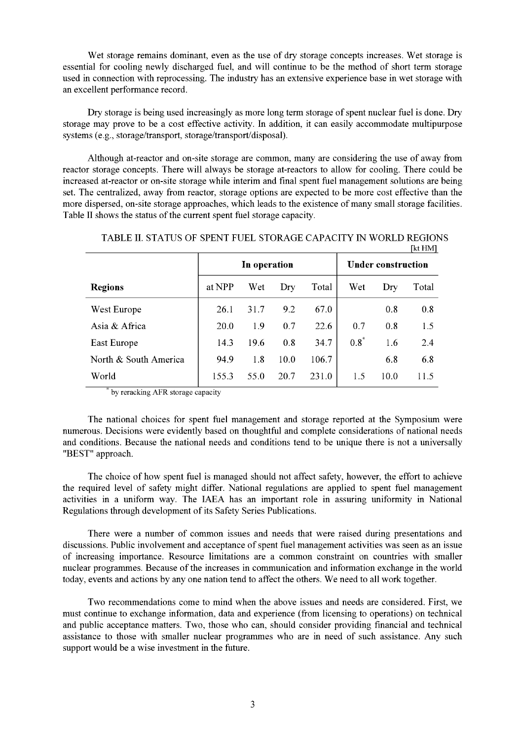Wet storage remains dominant, even as the use of dry storage concepts increases. Wet storage is essential for cooling newly discharged fuel, and will continue to be the method of short term storage used in connection with reprocessing. The industry has an extensive experience base in wet storage with an excellent performance record.

Dry storage is being used increasingly as more long term storage of spent nuclear fuel is done. Dry storage may prove to be a cost effective activity. In addition, it can easily accommodate multipurpose systems (e.g., storage/transport, storage/transport/disposal).

Although at-reactor and on-site storage are common, many are considering the use of away from reactor storage concepts. There will always be storage at-reactors to allow for cooling. There could be increased at-reactor or on-site storage while interim and final spent fuel management solutions are being set. The centralized, away from reactor, storage options are expected to be more cost effective than the more dispersed, on-site storage approaches, which leads to the existence of many small storage facilities. Table II shows the status of the current spent fuel storage capacity.

|                       |              |      |      |                           |        |      | 1111111 |
|-----------------------|--------------|------|------|---------------------------|--------|------|---------|
|                       | In operation |      |      | <b>Under construction</b> |        |      |         |
| <b>Regions</b>        | at NPP       | Wet  | Dry  | Total                     | Wet    | Dry  | Total   |
| West Europe           | 26.1         | 31.7 | 9.2  | 67.0                      |        | 0.8  | 0.8     |
| Asia & Africa         | <b>20.0</b>  | 1.9  | 0.7  | 22.6                      | 0.7    | 0.8  | 1.5     |
| East Europe           | 14.3         | 19.6 | 0.8  | 34.7                      | $0.8*$ | 1.6  | 2.4     |
| North & South America | 94.9         | 1.8  | 10.0 | 106.7                     |        | 6.8  | 6.8     |
| World                 | 155.3        | 55.0 | 20.7 | 231.0                     | 1.5    | 10.0 | 11.5    |

#### TABLE II. STATUS OF SPENT FUEL STORAGE CAPACITY IN WORLD REGIONS  $L$ <sup>+</sup>  $HM$ ]

by reracking AFR storage capacity

The national choices for spent fuel management and storage reported at the Symposium were numerous. Decisions were evidently based on thoughtful and complete considerations of national needs and conditions. Because the national needs and conditions tend to be unique there is not a universally "BEST" approach.

The choice of how spent fuel is managed should not affect safety, however, the effort to achieve the required level of safety might differ. National regulations are applied to spent fuel management activities in a uniform way. The IAEA has an important role in assuring uniformity in National Regulations through development of its Safety Series Publications.

There were a number of common issues and needs that were raised during presentations and discussions. Public involvement and acceptance of spent fuel management activities was seen as an issue of increasing importance. Resource limitations are a common constraint on countries with smaller nuclear programmes. Because of the increases in communication and information exchange in the world today, events and actions by any one nation tend to affect the others. We need to all work together.

Two recommendations come to mind when the above issues and needs are considered. First, we must continue to exchange information, data and experience (from licensing to operations) on technical and public acceptance matters. Two, those who can, should consider providing financial and technical assistance to those with smaller nuclear programmes who are in need of such assistance. Any such support would be a wise investment in the future.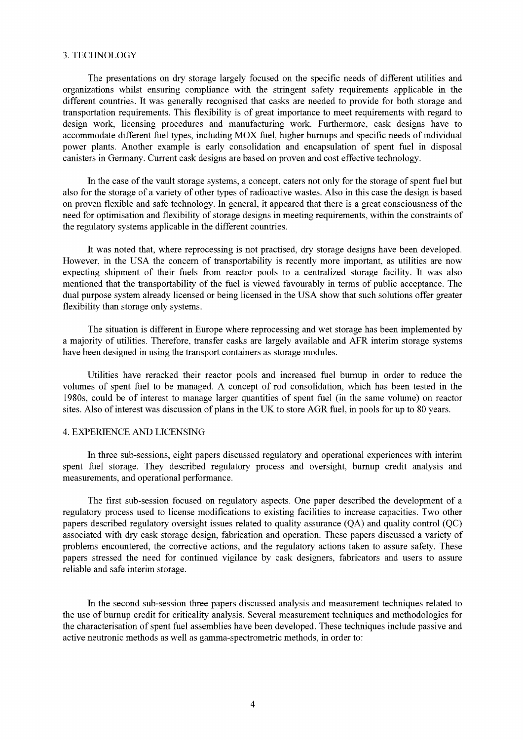#### 3. TECHNOLOGY

The presentations on dry storage largely focused on the specific needs of different utilities and organizations whilst ensuring compliance with the stringent safety requirements applicable in the different countries. It was generally recognised that casks are needed to provide for both storage and transportation requirements. This flexibility is of great importance to meet requirements with regard to design work, licensing procedures and manufacturing work. Furthermore, cask designs have to accommodate different fuel types, including MOX fuel, higher burnups and specific needs of individual power plants. Another example is early consolidation and encapsulation of spent fuel in disposal canisters in Germany. Current cask designs are based on proven and cost effective technology.

In the case of the vault storage systems, a concept, caters not only for the storage of spent fuel but also for the storage of a variety of other types of radioactive wastes. Also in this case the design is based on proven flexible and safe technology. In general, it appeared that there is a great consciousness of the need for optimisation and flexibility of storage designs in meeting requirements, within the constraints of the regulatory systems applicable in the different countries.

It was noted that, where reprocessing is not practised, dry storage designs have been developed. However, in the USA the concern of transportability is recently more important, as utilities are now expecting shipment of their fuels from reactor pools to a centralized storage facility. It was also mentioned that the transportability of the fuel is viewed favourably in terms of public acceptance. The dual purpose system already licensed or being licensed in the USA show that such solutions offer greater flexibility than storage only systems.

The situation is different in Europe where reprocessing and wet storage has been implemented by a majority of utilities. Therefore, transfer casks are largely available and AFR interim storage systems have been designed in using the transport containers as storage modules.

Utilities have reracked their reactor pools and increased fuel burnup in order to reduce the volumes of spent fuel to be managed. A concept of rod consolidation, which has been tested in the 1980s, could be of interest to manage larger quantities of spent fuel (in the same volume) on reactor sites. Also of interest was discussion of plans in the UK to store AGR fuel, in pools for up to 80 years.

#### 4. EXPERIENCE AND LICENSING

In three sub-sessions, eight papers discussed regulatory and operational experiences with interim spent fuel storage. They described regulatory process and oversight, burnup credit analysis and measurements, and operational performance.

The first sub-session focused on regulatory aspects. One paper described the development of a regulatory process used to license modifications to existing facilities to increase capacities. Two other papers described regulatory oversight issues related to quality assurance (QA) and quality control (QC) associated with dry cask storage design, fabrication and operation. These papers discussed a variety of problems encountered, the corrective actions, and the regulatory actions taken to assure safety. These papers stressed the need for continued vigilance by cask designers, fabricators and users to assure reliable and safe interim storage.

In the second sub-session three papers discussed analysis and measurement techniques related to the use of burnup credit for criticality analysis. Several measurement techniques and methodologies for the characterisation of spent fuel assemblies have been developed. These techniques include passive and active neutronic methods as well as gamma-spectrometric methods, in order to: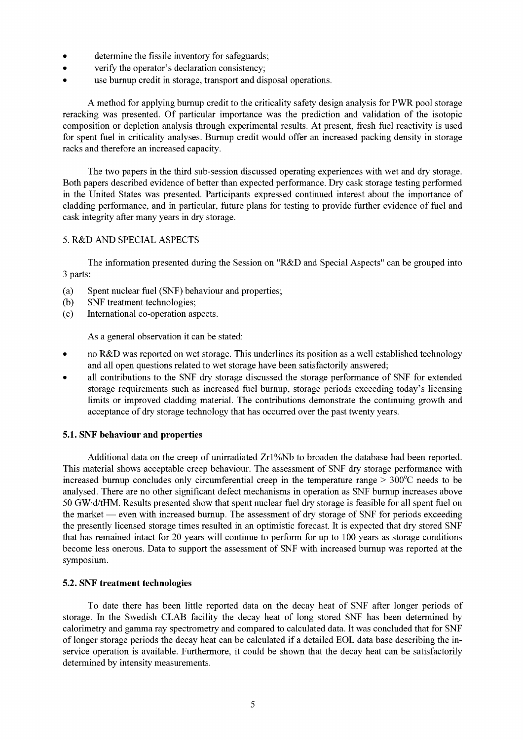- determine the fissile inventory for safeguards;  $\bullet$
- verify the operator's declaration consistency;  $\bullet$
- use burnup credit in storage, transport and disposal operations.

A method for applying burnup credit to the criticality safety design analysis for PWR pool storage reracking was presented. Of particular importance was the prediction and validation of the isotopic composition or depletion analysis through experimental results. At present, fresh fuel reactivity is used for spent fuel in criticality analyses. Burnup credit would offer an increased packing density in storage racks and therefore an increased capacity.

The two papers in the third sub-session discussed operating experiences with wet and dry storage. Both papers described evidence of better than expected performance. Dry cask storage testing performed in the United States was presented. Participants expressed continued interest about the importance of cladding performance, and in particular, future plans for testing to provide further evidence of fuel and cask integrity after many years in dry storage.

### 5. R&D AND SPECIAL ASPECTS

The information presented during the Session on "R&D and Special Aspects" can be grouped into 3 parts:

- (a) Spent nuclear fuel (SNF) behaviour and properties;
- (b) SNF treatment technologies;
- (c) International co-operation aspects.

As a general observation it can be stated:

- no R&D was reported on wet storage. This underlines its position as a well established technology and all open questions related to wet storage have been satisfactorily answered;
- all contributions to the SNF dry storage discussed the storage performance of SNF for extended storage requirements such as increased fuel burnup, storage periods exceeding today's licensing limits or improved cladding material. The contributions demonstrate the continuing growth and acceptance of dry storage technology that has occurred over the past twenty years.

### **5.1. SNF behaviour and properties**

Additional data on the creep of unirradiated Zrl%Nb to broaden the database had been reported. This material shows acceptable creep behaviour. The assessment of SNF dry storage performance with increased burnup concludes only circumferential creep in the temperature range > 300°C needs to be analysed. There are no other significant defect mechanisms in operation as SNF burnup increases above 50 GWd/tHM. Results presented show that spent nuclear fuel dry storage is feasible for all spent fuel on the market — even with increased burnup. The assessment of dry storage of SNF for periods exceeding the presently licensed storage times resulted in an optimistic forecast. It is expected that dry stored SNF that has remained intact for 20 years will continue to perform for up to 100 years as storage conditions become less onerous. Data to support the assessment of SNF with increased burnup was reported at the symposium.

### **5.2. SNF treatment technologies**

To date there has been little reported data on the decay heat of SNF after longer periods of storage. In the Swedish CLAB facility the decay heat of long stored SNF has been determined by calorimetry and gamma ray spectrometry and compared to calculated data. It was concluded that for SNF of longer storage periods the decay heat can be calculated if a detailed EOL data base describing the inservice operation is available. Furthermore, it could be shown that the decay heat can be satisfactorily determined by intensity measurements.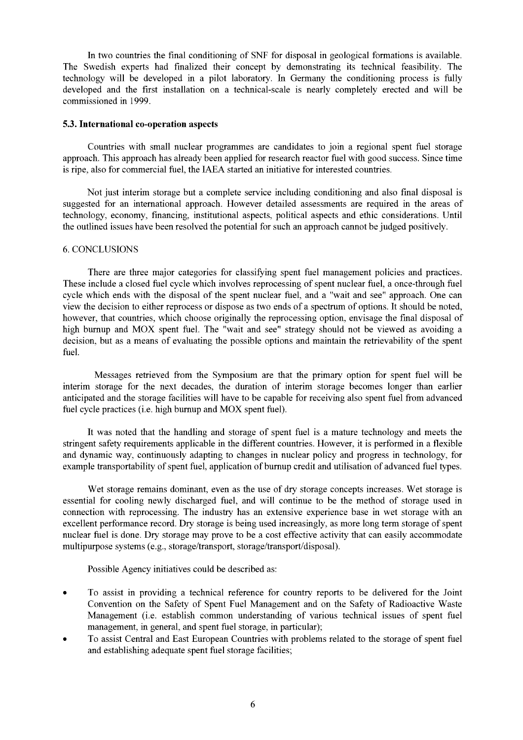In two countries the final conditioning of SNF for disposal in geological formations is available. The Swedish experts had finalized their concept by demonstrating its technical feasibility. The technology will be developed in a pilot laboratory. In Germany the conditioning process is fully developed and the first installation on a technical-scale is nearly completely erected and will be commissioned in 1999.

### **5.3. International co-operation aspects**

Countries with small nuclear programmes are candidates to join a regional spent fuel storage approach. This approach has already been applied for research reactor fuel with good success. Since time is ripe, also for commercial fuel, the IAEA started an initiative for interested countries.

Not just interim storage but a complete service including conditioning and also final disposal is suggested for an international approach. However detailed assessments are required in the areas of technology, economy, financing, institutional aspects, political aspects and ethic considerations. Until the outlined issues have been resolved the potential for such an approach cannot be judged positively.

#### 6. CONCLUSIONS

There are three major categories for classifying spent fuel management policies and practices. These include a closed fuel cycle which involves reprocessing of spent nuclear fuel, a once-through fuel cycle which ends with the disposal of the spent nuclear fuel, and a "wait and see" approach. One can view the decision to either reprocess or dispose as two ends of a spectrum of options. It should be noted, however, that countries, which choose originally the reprocessing option, envisage the final disposal of high burnup and MOX spent fuel. The "wait and see" strategy should not be viewed as avoiding a decision, but as a means of evaluating the possible options and maintain the retrievability of the spent fuel.

Messages retrieved from the Symposium are that the primary option for spent fuel will be interim storage for the next decades, the duration of interim storage becomes longer than earlier anticipated and the storage facilities will have to be capable for receiving also spent fuel from advanced fuel cycle practices (i.e. high burnup and MOX spent fuel).

It was noted that the handling and storage of spent fuel is a mature technology and meets the stringent safety requirements applicable in the different countries. However, it is performed in a flexible and dynamic way, continuously adapting to changes in nuclear policy and progress in technology, for example transportability of spent fuel, application of burnup credit and utilisation of advanced fuel types.

Wet storage remains dominant, even as the use of dry storage concepts increases. Wet storage is essential for cooling newly discharged fuel, and will continue to be the method of storage used in connection with reprocessing. The industry has an extensive experience base in wet storage with an excellent performance record. Dry storage is being used increasingly, as more long term storage of spent nuclear fuel is done. Dry storage may prove to be a cost effective activity that can easily accommodate multipurpose systems (e.g., storage/transport, storage/transport/disposal).

Possible Agency initiatives could be described as:

- To assist in providing a technical reference for country reports to be delivered for the Joint Convention on the Safety of Spent Fuel Management and on the Safety of Radioactive Waste Management (i.e. establish common understanding of various technical issues of spent fuel management, in general, and spent fuel storage, in particular);
- To assist Central and East European Countries with problems related to the storage of spent fuel and establishing adequate spent fuel storage facilities;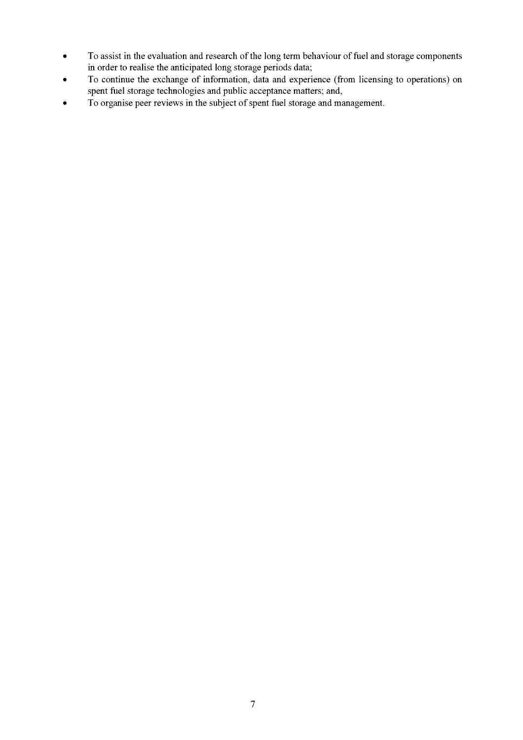- To assist in the evaluation and research of the long term behaviour of fuel and storage components  $\bullet$ in order to realise the anticipated long storage periods data;
- To continue the exchange of information, data and experience (from licensing to operations) on  $\bullet$ spent fuel storage technologies and public acceptance matters; and,
- To organise peer reviews in the subject of spent fuel storage and management. $\bullet$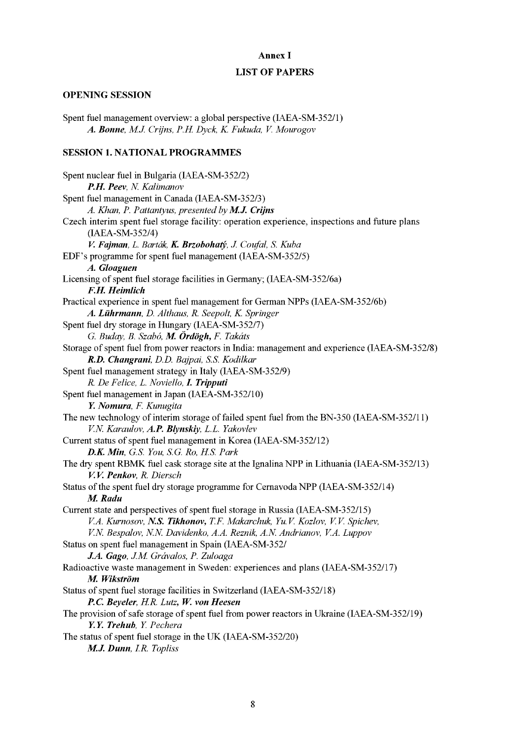# **Annex I LIST OF PAPERS**

### **OPENING SESSION**

Spent fuel management overview: a global perspective (IAEA-SM-352/1) *A. Bonne, M.J. Crijns, P.H. Dyck, K. Fukuda, V. Mourogov*

#### **SESSION 1. NATIONAL PROGRAMMES**

Spent nuclear fuel in Bulgaria (IAEA-SM-352/2) *P.H. Peev, N. Kalimanov* Spent fuel management in Canada (IAEA-SM-352/3) *A. Khan, P. Pattantyus, presented by M.J. Crijns* Czech interim spent fuel storage facility: operation experience, inspections and future plans (IAEA-SM-352/4) *V. Fajman, L. Bartdk, K. Brzobohaty, J. Coufal, S. Kuba* EDF's programme for spent fuel management (IAEA-SM-352/5) *A. Gloaguen* Licensing of spent fuel storage facilities in Germany; (IAEA-SM-352/6a) *F.H. Heimlich* Practical experience in spent fuel management for German NPPs (IAEA-SM-352/6b) *A. Lilhrmann, D. Althaus, R. Seepolt, K. Springer* Spent fuel dry storage in Hungary (IAEA-SM-352/7) *G Buday, B. Szabo, M. Ordogh, F. Takdts* Storage of spent fuel from power reactors in India: management and experience (IAEA-SM-352/8) *R.D. Changrani, D.D. Bajpai, S.S. Kodilkar* Spent fuel management strategy in Italy (IAEA-SM-352/9) *R De Felice, L. Noviello, I. Tripputi* Spent fuel management in Japan (IAEA-SM-352/10) *Y. Nomura, F. Kunugita* The new technology of interim storage of failed spent fuel from the BN-350 (IAEA-SM-352/11) *V.N. Karaulov, A.P. Blynskiy, L.L. Yakovlev* Current status of spent fuel management in Korea (IAEA-SM-352/12) *D.K. Min, G.S. You, S.G. Ro, H.S. Park* The dry spent RBMK fuel cask storage site at the Ignalina NPP in Lithuania (IAEA-SM-352/13) *V. V. Penkov, R. Diersch* Status of the spent fuel dry storage programme for Cernavoda NPP (IAEA-SM-352/14) *M. Radu* Current state and perspectives of spent fuel storage in Russia (IAEA-SM-352/15) *V.A. Kurnosov, N.S. Tikhonov, T.F. Makarchuk, Yu. V. Kozlov, V. V. Spichev, V.N. Bespalov, N.N. Davidenko, A.A. Reznik, A.N. Andrianov, VA. Luppov* Status on spent fuel management in Spain (IAEA-SM-352/ *J.A. Gago, J.M. Grdvalos, P. Zuloaga* Radioactive waste management in Sweden: experiences and plans (IAEA-SM-352/17) *M. Wikstrom* Status of spent fuel storage facilities in Switzerland (IAEA-SM-352/18) *PC. Beyeler, H.R. Lutz, W. von Heesen* The provision of safe storage of spent fuel from power reactors in Ukraine (IAEA-SM-352/19) *Y.Y. Trehub, Y. Pechera* The status of spent fuel storage in the UK (IAEA-SM-352/20) *M.J. Dunn, I.R. Topliss*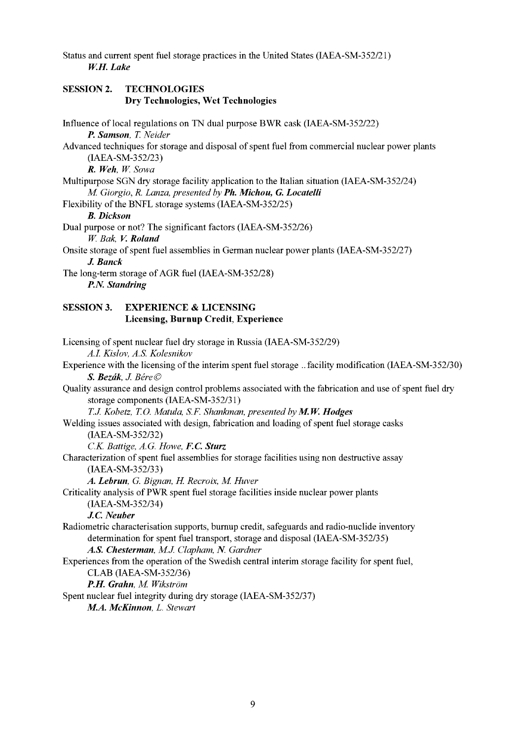Status and current spent fuel storage practices in the United States (IAEA-SM-352/21) *W.H. Lake*

### **SESSION 2. TECHNOLOGIES Dry Technologies, Wet Technologies**

Influence of local regulations on TN dual purpose BWR cask (IAEA-SM-352/22) *P. Samson, T. Neider* Advanced techniques for storage and disposal of spent fuel from commercial nuclear power plants (IAEA-SM-352/23) *R. Weh, W. Sowa* Multipurpose SGN dry storage facility application to the Italian situation (IAEA-SM-352/24) *M. Giorgio, R. Lanza, presented by Ph. Michou, G. Locatelli* Flexibility of the BNFL storage systems (IAEA-SM-352/25) *B. Dickson* Dual purpose or not? The significant factors (IAEA-SM-352/26) *W. Bak, V. Roland* Onsite storage of spent fuel assemblies in German nuclear power plants (IAEA-SM-352/27) *J. Banck* The long-term storage of AGR fuel (IAEA-SM-352/28) *P.N. Standring*

## **SESSION 3. EXPERIENCE & LICENSING Licensing, Burnup Credit, Experience**

Licensing of spent nuclear fuel dry storage in Russia (IAEA-SM-352/29) *A.I. Kislov, A.S. Kolesnikov* Experience with the licensing of the interim spent fuel storage .. facility modification (IAEA-SM-352/30) *S. Bezdk, J. Bere©* Quality assurance and design control problems associated with the fabrication and use of spent fuel dry storage components (IAEA-SM-352/31) *T.J. Kobetz, T. O. Matula, S.F. Shankman, presented by M. W. Hodges* Welding issues associated with design, fabrication and loading of spent fuel storage casks (IAEA-SM-352/32) *C.K. Battige, A.G. Howe, F.C. Sturz* Characterization of spent fuel assemblies for storage facilities using non destructive assay (IAEA-SM-352/33) *A. Lebrun, G. Bignan, H Recroix, M. Huver* Criticality analysis of PWR spent fuel storage facilities inside nuclear power plants (IAEA-SM-352/34) *J.C. Neuber* Radiometric characterisation supports, burnup credit, safeguards and radio-nuclide inventory determination for spent fuel transport, storage and disposal (IAEA-SM-352/35) *A.S. Chesterman, M.J. Clapham, N. Gardner* Experiences from the operation of the Swedish central interim storage facility for spent fuel, CLAB (IAEA-SM-352/36) *PH. Grahn, M. Wikstrom* Spent nuclear fuel integrity during dry storage (IAEA-SM-352/37) *M.A. McKinnon, L. Stewart*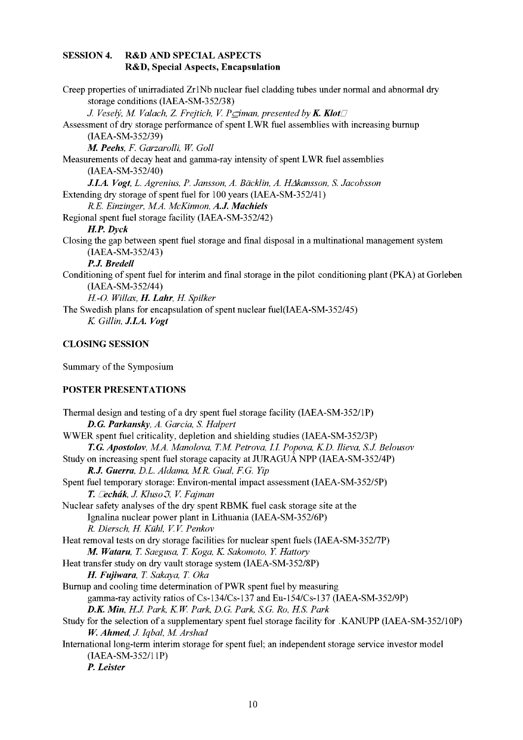## **SESSION 4. R&D AND SPECIAL ASPECTS R&D, Special Aspects, Encapsulation**

| Creep properties of unirradiated Zr1Nb nuclear fuel cladding tubes under normal and abnormal dry           |
|------------------------------------------------------------------------------------------------------------|
| storage conditions (IAEA-SM-352/38)                                                                        |
| J. Veselý, M. Valach, Z. Frejtich, V. P $\subseteq$ iman, presented by <b>K. Klot</b> $\Box$               |
| Assessment of dry storage performance of spent LWR fuel assemblies with increasing burnup                  |
| (IAEA-SM-352/39)                                                                                           |
| M. Peehs, F. Garzarolli, W. Goll                                                                           |
| Measurements of decay heat and gamma-ray intensity of spent LWR fuel assemblies                            |
| $(IAEA-SM-352/40)$                                                                                         |
| J.I.A. Vogt, L. Agrenius, P. Jansson, A. Bäcklin, A. H∆kansson, S. Jacobsson                               |
| Extending dry storage of spent fuel for 100 years (IAEA-SM-352/41)                                         |
| R.E. Einzinger, M.A. McKinnon, A.J. Machiels                                                               |
| Regional spent fuel storage facility (IAEA-SM-352/42)                                                      |
| H.P. Dyck                                                                                                  |
| Closing the gap between spent fuel storage and final disposal in a multinational management system         |
| (IAEA-SM-352/43)                                                                                           |
| P.J. Bredell                                                                                               |
| Conditioning of spent fuel for interim and final storage in the pilot conditioning plant (PKA) at Gorleben |
| $(IAEA-SM-352/44)$                                                                                         |
| H.-O. Willax, H. Lahr, H. Spilker                                                                          |
| The Swedish plans for encapsulation of spent nuclear fuel(IAEA-SM-352/45)                                  |
| K. Gillin, J.I.A. Vogt                                                                                     |
| <b>CLOSING SESSION</b>                                                                                     |

Summary of the Symposium

## **POSTER PRESENTATIONS**

| Thermal design and testing of a dry spent fuel storage facility (IAEA-SM-352/1P)                      |
|-------------------------------------------------------------------------------------------------------|
| D.G. Parkansky, A. Garcia, S. Halpert                                                                 |
| WWER spent fuel criticality, depletion and shielding studies (IAEA-SM-352/3P)                         |
| T.G. Apostolov, M.A. Manolova, T.M. Petrova, I.I. Popova, K.D. Ilieva, S.J. Belousov                  |
| Study on increasing spent fuel storage capacity at JURAGUÁ NPP (IAEA-SM-352/4P)                       |
| R.J. Guerra, D.L. Aldama, M.R. Gual, F.G. Yip                                                         |
| Spent fuel temporary storage: Environ-mental impact assessment (IAEA-SM-352/5P)                       |
| <b>T.</b> $\Box$ <b>echák</b> , J. Kluso $\Im$ , V. Fajman                                            |
| Nuclear safety analyses of the dry spent RBMK fuel cask storage site at the                           |
| Ignalina nuclear power plant in Lithuania (IAEA-SM-352/6P)                                            |
| R. Diersch, H. Kühl, V.V. Penkov                                                                      |
| Heat removal tests on dry storage facilities for nuclear spent fuels (IAEA-SM-352/7P)                 |
| M. Wataru, T. Saegusa, T. Koga, K. Sakomoto, Y. Hattory                                               |
| Heat transfer study on dry vault storage system (IAEA-SM-352/8P)                                      |
| H. Fujiwara, T. Sakaya, T. Oka                                                                        |
| Burnup and cooling time determination of PWR spent fuel by measuring                                  |
| gamma-ray activity ratios of Cs-134/Cs-137 and Eu-154/Cs-137 (IAEA-SM-352/9P)                         |
| D.K. Min, H.J. Park, K.W. Park, D.G. Park, S.G. Ro, H.S. Park                                         |
| Study for the selection of a supplementary spent fuel storage facility for .KANUPP (IAEA-SM-352/10P)  |
| W. Ahmed, J. Iqbal, M. Arshad                                                                         |
| International long-term interim storage for spent fuel; an independent storage service investor model |
| $(IAEA-SM-352/11P)$                                                                                   |
| P. Leister                                                                                            |